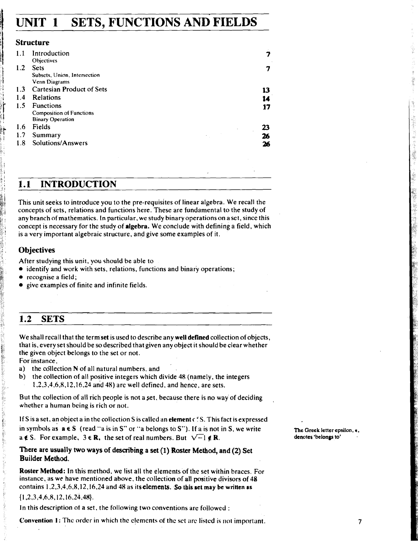# **UNIT 1 SETS, FUNCTIONS AND FIELDS**

### **Structure**

| Introduction                    |    |
|---------------------------------|----|
| Objectives                      |    |
| <b>Sets</b>                     |    |
| Subsets, Union, Intersection    |    |
| Venn Diagrams                   |    |
| 1.3 Cartesian Product of Sets   |    |
| <b>Relations</b>                | 14 |
| <b>Functions</b>                | 17 |
| <b>Composition of Functions</b> |    |
| <b>Binary Operation</b>         |    |
| Fields                          | 23 |
| Summary                         | 26 |
| Solutions/Answers               | 26 |
|                                 |    |

# **1.1 INTRODUCTION**

This unit seeks to introduce you to the pre-requisites of linear algebra. We recall the concepts of sets, relations and functions here. These are fundamental to the study of any branch of mathematics. In particular, we study binaryoperations on a set, since this concept is necessary for the study of algebra. We conclude with defining a field, which is a very important algebraic structure, and give some examples of it.

### **Objectives**

After studying this unit, you should be able to

- identify and work with sets, relations, functions and binary operations;
- recognise a field;
- give examples of finite and infinite fields.

# **1.2 SETS**

We shall recall that the term set is used to describe any well defined collection of objects, that is, every set should be so described that given any object it should be clear whether the given object belongs to the set or not.

For instance,

**SAN DAY BEATHER** 

机会计程序

- a) the collection  $N$  of all natural numbers, and<br>b) the collection of all positive integers which  $\alpha$
- the collection of all positive integers which divide 48 (namely, the integers 1.2,3.4,6,8,12,16,24 **and** 48) are well defined, and hence, are sets.

But the collection of all rich people is not a set. because there is no way of deciding whether a human being is rich or not.

If S is a set, an object a in the collection **S** iscalled an element **c** f S. This fact is expressed in symbols as  $a \in S$  (read "a is in S" or "a belongs to S"). If a is not in S, we write **The Greek letter epsilon**,  $\epsilon$ , a  $\boldsymbol{\epsilon}$  S. For example,  $3 \boldsymbol{\epsilon} \mathbf{R}$ , the set of real numbers. But  $\sqrt{-1} \boldsymbol{\epsilon} \mathbf{R}$ . **denotes 'belongs to'** 

### **There are usually two ways of describing a set (1) Roster Method, and (2)** Set **Builder Method.**

Roster Method: In this method, we list all the elements of the set within braces. For instance, as we have mentioned above, the collection of all positive divisors of 48 contains 1.2,3,4.6.8,12,16.24 and 48 as itselements. **So this set may be written as** 

**{1,2,3,4.6.8.12.16.24.46).** 

In this description of a set. the following two conventions arc followed :

**Convention 1:** The order in which the elements of the set are listed is not important.

 $\overline{7}$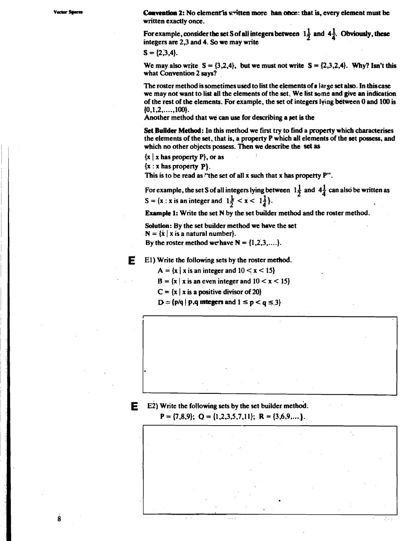Varter Star

**Convention 2:** No element is written more han once: that is, every element must be written exactly once.

For example, consider the set S of all integers between  $1\frac{1}{2}$  and  $4\frac{1}{2}$ . Obviously, these integers are 2,3 and 4. So we may write

$$
S = \{2,3,4\}.
$$

We may also write  $S = \{3.2.4\}$ , but we must not write  $S = \{2.3.2.4\}$ . Why? Isn't this what Convention 2 savs?

The roster method is sometimes used to list the elements of a large set also. In this case we may not want to list all the elements of the set. We list some and give an indication of the rest of the elements. For example, the set of integers lying between 0 and 100 is  $\{0.1.2, \ldots, 100\}.$ 

Another method that we can use for describing a set is the

Set Builder Method: In this method we first try to find a property which characterises the elements of the set, that is, a property P which all elements of the set possess, and which no other objects possess. Then we describe the set as

 $\{x \mid x \text{ has property } P\}$ , or as

 $\{x : x \text{ has property } P\}.$ 

This is to be read as "the set of all x such that x has property  $P$ ".

For example, the set S of all integers lying between  $1\frac{1}{2}$  and  $4\frac{1}{4}$  can also be written as S = {x : x is an integer and  $1\frac{1}{2} < x < 1\frac{1}{4}$ }.

**Example 1:** Write the set N by the set builder method and the roster method.

Solution: By the set builder method we have the set

 $N = \{x \mid x \text{ is a natural number}\}.$ 

By the roster method we have  $N = \{1, 2, 3, \ldots\}$ .

E

E1) Write the following sets by the roster method.

 $A = \{x \mid x \text{ is an integer and } 10 < x < 15\}$ 

 $B = \{x \mid x \text{ is an even integer and } 10 < x < 15\}$ 

 $C = \{x \mid x \text{ is a positive divisor of } 20\}$ 

 $D = {p/q | p,q}$  integers and  $1 \le p < q \le 3$ 





ġ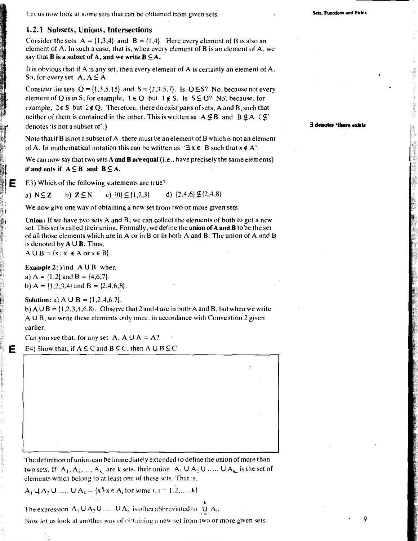Let us now look at some sets that can be obtained from given sets.

u. Functions and Fields

### 1.2.1 Subsets, Unions, Intersections

Consider the sets  $A = \{1,3,4\}$  and  $B = \{1,4\}$ . Here every element of B is also an element of A. In such a case, that is, when every element of B is an element of A, we say that B is a subset of A, and we write  $B \subseteq A$ .

It is obvious that if  $A$  is any set, then every element of  $A$  is certainly an element of  $A$ . So, for every set A,  $A \subseteq A$ .

Consider the sets  $Q = \{1,3,5,15\}$  and  $S = \{2,3,5,7\}$ . Is  $Q \subseteq S$ ? No, because not every element of Q is in S; for example,  $1 \in Q$  but  $1 \notin S$ . Is  $S \subseteq Q$ ? No, because, for example,  $2 \in S$  but  $2 \notin Q$ . Therefore, there do exist pairs of sets, A and B, such that neither of them is contained in the other. This is written as  $A \nsubseteq B$  and  $B \nsubseteq A$  ( $\subseteq$ ' denotes 'is not a subset of'.)

Note that if B is not a subset of A, there must be an element of B which is not an element of A. In mathematical notation this can be written as  $\forall \exists x \in B$  such that  $x \notin A'$ .

We can now say that two sets A and B are equal  $(i.e., have precisely the same elements)$ if and only if  $A \subseteq B$  and  $B \subseteq A$ .

E3) Which of the following statements are true?

d)  $\{2,4,6\}$   $\mathcal{L}\{2,4,8\}$ a)  $N \subseteq Z$ b)  $Z \subseteq N$ c)  $\{0\} \subseteq \{1,2,3\}$ 

We now give one way of obtaining a new set from two or more given sets.

Union: If we have two sets A and B, we can collect the elements of both to get a new set. This set is called their union. Formally, we define the **union of A and B** to be the set of all those elements which are in A or in B or in both A and B. The union of A and B is denoted by  $A \cup B$ . Thus,

 $A \cup B = \{x \mid x \in A \text{ or } x \in B\}.$ 

**Example 2:** Find  $A \cup B$  when a)  $A = \{1,2\}$  and  $B = \{4,6,7\}$ . b) A = {1,2,3,4} and B = {2,4,6,8}.

**Solution:** a) A U B =  $\{1, 2, 4, 6, 7\}$ .

E

b) A  $\cup$  B = {1,2,3,4,6,8}. Observe that 2 and 4 are in both A and B, but when we write A U B, we write these elements only once, in accordance with Convention 2 given earlier.

Can you see that, for any set A, A  $\bigcup A = A$ ?

E4) Show that, if  $A \subseteq C$  and  $B \subseteq C$ , then  $A \cup B \subseteq C$ .

The definition of union can be immediately extended to define the union of more than two sets. If  $A_1, A_2, ..., A_k$  are k sets, their union  $A_1 \cup A_2 \cup ... \cup A_k$  is the set of elements which belong to at least one of these sets. That is,

 $A_1 \cup A_2 \cup ... \cup A_k = \{x \mid x \in A_i \text{ for some } i, i = 1, 2, ..., k\}$ 

The expression  $A_1 \cup A_2 \cup \ldots \cup A_k$  is often abbreviated to  $\bigcup A_i$ .

Now let us look at another way of obtaining a new set from two or more given sets.

E denotes 'there exist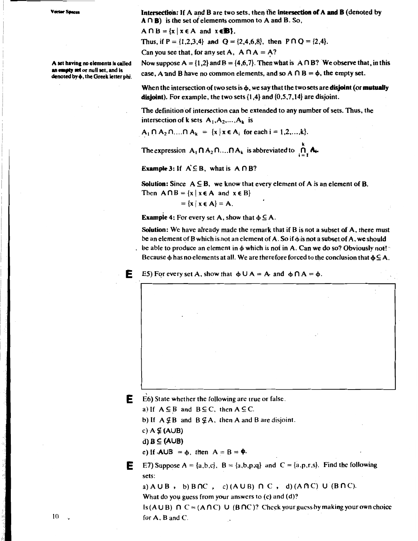A set having no elements is called an empty set or null set, and is denoted by  $\phi$ , the Greek letter phi.

Intersection: If A and B are two sets, then the intersection of A and B (denoted by  $A \cap B$ ) is the set of elements common to A and B. So,

 $A \cap B = \{x \mid x \in A \text{ and } x \in B\}.$ 

Thus, if  $P = \{1,2,3,4\}$  and  $Q = \{2,4,6,8\}$ , then  $P \cap Q = \{2,4\}$ .

Can you see that, for any set A,  $A \cap A = A$ ?

Now suppose A =  $\{1,2\}$  and B =  $\{4,6,7\}$ . Then what is A  $\cap$  B? We observe that, in this case, A and B have no common elements, and so A  $\cap$  B =  $\phi$ , the empty set.

When the intersection of two sets is  $\phi$ , we say that the two sets are **disjoint** (or **mutually disjoint**). For example, the two sets  $\{1,4\}$  and  $\{0,5,7,14\}$  are disjoint.

The definition of intersection can be extended to any number of sets. Thus, the intersection of k sets  $A_1, A_2, ..., A_k$  is

 $A_1 \cap A_2 \cap ... \cap A_k = \{x \mid x \in A_i \text{ for each } i = 1, 2, ..., k\}.$ 

The expression  $A_1 \cap A_2 \cap ... \cap A_k$  is abbreviated to  $\bigcap_i A_i$ .

**Example 3:** If  $A \subseteq B$ , what is  $A \cap B$ ?

**Solution:** Since  $A \subseteq B$ , we know that every element of A is an element of B. Then  $A \cap B = \{x \mid x \in A \text{ and } x \in B\}$ 

 $= \{x \mid x \in A\} = A.$ 

**Example 4:** For every set A, show that  $\phi \subseteq A$ .

Solution: We have already made the remark that if B is not a subset of A, there must be an element of B which is not an element of A. So if  $\phi$  is not a subset of A, we should be able to produce an element in  $\phi$  which is not in A. Can we do so? Obviously not! Because  $\phi$  has no elements at all. We are therefore forced to the conclusion that  $\phi \subseteq A$ .

E5) For every set A, show that  $\phi \cup A = A$  and  $\phi \cap A = \phi$ .

 $\mathbf{E}$  E6) State whether the following are true or false.

a) If  $A \subseteq B$  and  $B \subseteq C$ , then  $A \subseteq C$ .

b) If  $A \nsubseteq B$  and  $B \nsubseteq A$ , then A and B are disjoint.

c)  $A \nsubseteq (A \cup B)$ 

d)  $B \subseteq (A \cup B)$ 

F.

e) If  $A \cup B = \phi$ , then  $A = B = \phi$ .

E7) Suppose  $A = \{a,b,c\}$ ,  $B = \{a,b,p,q\}$  and  $C = \{a,p,r,s\}$ . Find the following Е sets:

a)  $A \cup B$ , b)  $B \cap C$ , c)  $(A \cup B) \cap C$ , d)  $(A \cap C) \cup (B \cap C)$ .

What do you guess from your answers to  $(c)$  and  $(d)$ ?

Is  $(A \cup B)$   $\cap$   $C = (A \cap C)$   $\cup$   $(B \cap C)$ ? Check your guess by making your own choice for  $A$ .  $B$  and  $C$ .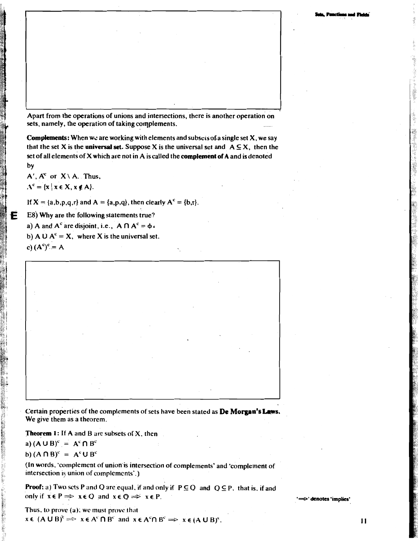Apart from the operations of unions and intersections, there is another operation on sets, namely, the operation of taking complements.

**Complements:** When we are working with elements and subsets of a single set  $X$ , we say that the set X is the universal set. Suppose X is the universal set and  $A \subseteq X$ , then the set of all elements of X which are not in A is called the complement of A and is denoted by

 $A'$ ,  $A^c$  or  $X \setminus A$ . Thus,  $A^{c} = \{x \mid x \in X, x \notin A\}.$ 

Е

If  $X = \{a,b,p,q,r\}$  and  $A = \{a,p,q\}$ , then clearly  $A^c = \{b,r\}$ .

E8) Why are the following statements true? a) A and  $A^c$  are disjoint, i.e.,  $A \cap A^c = \phi$ . b) A U  $A^c = X$ , where X is the universal set. c)  $(A<sup>c</sup>)<sup>c</sup> = A$ 

Certain properties of the complements of sets have been stated as De Morgan's Laws. We give them as a theorem.

**Theorem 1:** If A and B are subsets of X, then

a)  $(A \cup B)^c = A^c \cap B^c$ 

b) 
$$
(A \cap B)^c = A^c \cup B^c
$$

(In words, 'complement of union is intersection of complements' and 'complement of intersection is union of complements'.)

**Proof:** a) Two sets P and Q are equal, if and only if  $P \subseteq Q$  and  $Q \subseteq P$ , that is, if and only if  $x \in P \implies x \in Q$  and  $x \in Q \implies x \in P$ .

Thus, to prove (a), we must prove that  $x \in (A \cup B)^c \implies x \in A^c \cap B^c$  and  $x \in A^c \cap B^c \implies x \in (A \cup B)^c$ . denotes 'implies'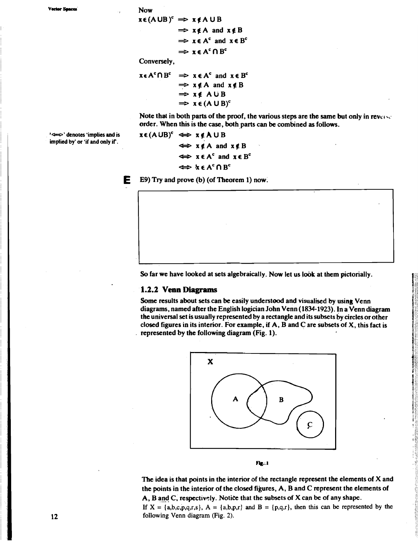rtor St

**Now** 

 $x \in (A \cup B)^c \implies x \notin A \cup B$  $\Rightarrow$  x  $\notin$  A and x  $\notin$  B  $\Rightarrow$   $x \in A^c$  and  $x \in B^c$  $\Rightarrow$   $x \in A^c \cap B^c$ 

Conversely,

**xe A<sup>c</sup>** n B<sup>c</sup>  $\Rightarrow$   $x \in A^c$  and  $x \in B^c$  $\Rightarrow$  x  $\notin$  A and x  $\notin$  B  $\Rightarrow$  xe AUB  $\Rightarrow$   $x \in (A \cup B)^c$ 

Note that in both parts of the proof, the various steps are the same but only in reverse order. When this is the case, both parts can be combined as follows.

denotes 'implies and is' implied by' or 'if and only if'.

 $x \in (A \cup B)^c \iff x \notin A \cup B$  $\Leftrightarrow$   $x \notin A$  and  $x \notin B$  $\Leftrightarrow$   $x \in A^c$  and  $x \in B^c$  $\Leftrightarrow$  **x**  $\epsilon$  A<sup>c</sup>  $\cap$  B<sup>c</sup>

Е E9) Try and prove (b) (of Theorem 1) now.

So far we have looked at sets algebraically. Now let us look at them pictorially.

#### 1.2.2 Venn Diagrams

Some results about sets can be easily understood and visualised by using Venn diagrams, named after the English logician John Venn (1834-1923). In a Venn diagram the universal set is usually represented by a rectangle and its subsets by circles or other closed figures in its interior. For example, if  $A$ ,  $B$  and  $C$  are subsets of  $X$ , this fact is represented by the following diagram (Fig. 1).



Fig. 1

The idea is that points in the interior of the rectangle represent the elements of X and the points in the interior of the closed figures, A, B and C represent the elements of A, B and C, respectively. Notice that the subsets of X can be of any shape.

If  $X = \{a,b,c,p,q,r,s\}$ ,  $A = \{a,b,p,r\}$  and  $B = \{p,q,r\}$ , then this can be represented by the following Venn diagram (Fig. 2).

12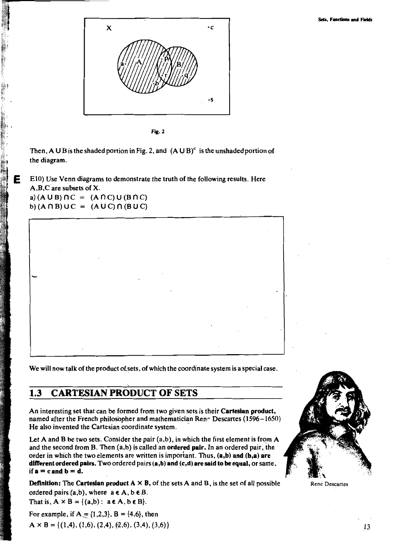

Fig. 2

Then, A U B is the shaded portion in Fig. 2, and  $(A \cup B)^c$  is the unshaded portion of the diagram.

E10) Use Venn diagrams to demonstrate the truth of the following results. Here A,B,C are subsets of X. a)  $(A \cup B) \cap C = (A \cap C) \cup (B \cap C)$ b)  $(A \cap B) \cup C = (A \cup C) \cap (B \cup C)$ 

E

We will now talk of the product of sets, of which the coordinate system is a special case.

#### $1.3$ **CARTESIAN PRODUCT OF SETS**

An interesting set that can be formed from two given sets is their Cartesian product, named after the French philosopher and mathematician Rene Descartes (1596 - 1650) He also invented the Cartesian coordinate system.

Let A and B be two sets. Consider the pair  $(a,b)$ , in which the first element is from A and the second from B. Then  $(a,b)$  is called an ordered pair. In an ordered pair, the order in which the two elements are written is important. Thus, (a,b) and (b,a) are different ordered pairs. Two ordered pairs  $(a,b)$  and  $(c,d)$  are said to be equal, or same, if  $a = c$  and  $b = d$ .

**Definition:** The Cartesian product  $A \times B$ , of the sets A and B, is the set of all possible ordered pairs  $(a,b)$ , where  $a \in A$ ,  $b \in B$ .

That is,  $A \times B = \{(a,b): a \in A, b \in B\}$ .

For example, if  $A = \{1,2,3\}$ ,  $B = \{4,6\}$ , then  $A \times B = \{(1,4), (1,6), (2,4), (2,6), (3,4), (3,6)\}\$ 



Rene Descartes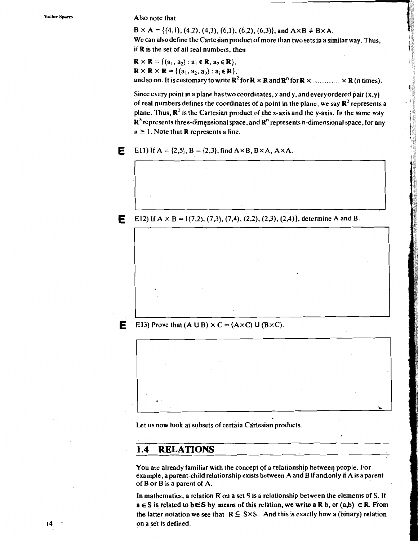#### Also note that

E

E

Е

 $B \times A = \{(4,1), (4,2), (4,3), (6,1), (6,2), (6,3)\}\$ , and  $A \times B \neq B \times A$ .

We can also define the Cartesian product of more than two sets in a similar way. Thus, if R is the set of all real numbers, then

全部調査:

 $\mathbf{R} \times \mathbf{R} = \{(\mathbf{a}_1, \mathbf{a}_2) : \mathbf{a}_1 \in \mathbf{R}, \mathbf{a}_2 \in \mathbf{R}\},\$  $\mathbf{R} \times \mathbf{R} \times \mathbf{R} = \{ (a_1, a_2, a_3) : a_i \in \mathbf{R} \},\$ and so on. It is customary to write  $\mathbb{R}^2$  for  $\mathbb{R} \times \mathbb{R}$  and  $\mathbb{R}^n$  for  $\mathbb{R} \times \ldots \times \mathbb{R}$  (n times).

Since every point in a plane has two coordinates, x and y, and every ordered pair  $(x, y)$ of real numbers defines the coordinates of a point in the plane, we say  $\mathbb{R}^2$  represents a plane. Thus,  $\mathbb{R}^2$  is the Cartesian product of the x-axis and the y-axis. In the same way  $\mathbb{R}^3$  represents three-dimensional space, and  $\mathbb{R}^n$  represents n-dimensional space, for any  $n \geq 1$ . Note that **R** represents a line.

E11) If  $A = \{2,5\}$ ,  $B = \{2,3\}$ , find  $A \times B$ ,  $B \times A$ ,  $A \times A$ .

E12) If  $A \times B = \{(7,2), (7,3), (7,4), (2,2), (2,3), (2,4)\}\$ , determine A and B.

### E13) Prove that  $(A \cup B) \times C = (A \times C) \cup (B \times C)$ .

Let us now look at subsets of certain Cartesian products.

#### **RELATIONS**  $1.4$

You are already familiar with the concept of a relationship between people. For example, a parent-child relationship exists between A and B if and only if A is a parent of B or B is a parent of A.

In mathematics, a relation R on a set S is a relationship between the elements of S. If  $a \in S$  is related to b $\in S$  by means of this relation, we write a R b, or (a,b)  $\in R$ . From the latter notation we see that  $R \subseteq S \times S$ . And this is exactly how a (binary) relation on a set is defined.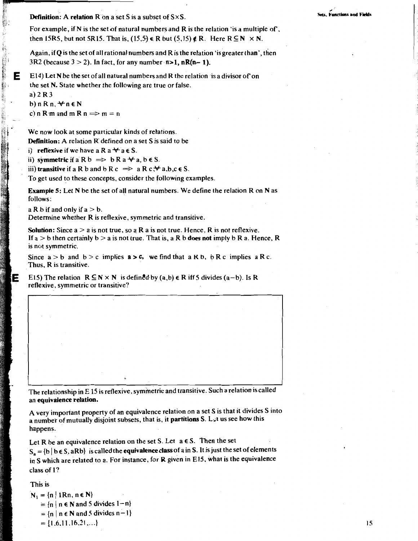**Definition:** A relation  $R$  on a set S is a subset of  $S \times S$ .

For example, if N is the set of natural numbers and R is the relation 'is a multiple of', then 15R5, but not 5R15. That is, (15,5)  $\in$  R but (5,15)  $\notin$  R. Here R  $\subseteq$  N  $\times$  N.

Again, if  $Q$  is the set of all rational numbers and  $R$  is the relation 'is greater than', then 3R2 (because  $3 > 2$ ). In fact, for any number  $n > 1$ ,  $nR(n-1)$ .

E14) Let N be the set of all natural numbers and R the relation is a divisor of on the set N. State whether the following are true or false.

a)  $2R3$ b) n R n,  $\forall$  n  $\in$  N c) n R m and m R n  $\Rightarrow$  m = n

- アンダー教授

E

We now look at some particular kinds of relations. **Definition:** A relation R defined on a set S is said to be

i) reflexive if we have a R  $a \star a \in S$ .

ii) symmetric if a R  $b \implies b R a \forall a, b \in S$ .

iii) transitive if a R b and b R c  $\Rightarrow$  a R c  $\forall$  a, b, c  $\in$  S.

To get used to these concepts, consider the following examples.

Example 5: Let N be the set of all natural numbers. We define the relation R on N as follows:

a R b if and only if  $a > b$ . Determine whether R is reflexive, symmetric and transitive.

**Solution:** Since  $a > a$  is not true, so a R a is not true. Hence, R is not reflexive. If a  $>$  b then certainly b  $>$  a is not true. That is, a R b does not imply b R a. Hence, R is not symmetric.

Since  $a > b$  and  $b > c$  implies  $a > c$ , we find that  $a \times b$ ,  $b \times c$  implies  $a \times c$ . Thus. R is transitive.

E15) The relation  $R \subseteq N \times N$  is defined by  $(a,b) \in R$  iff 5 divides  $(a-b)$ . Is R reflexive, symmetric or transitive?

The relationship in E 15 is reflexive, symmetric and transitive. Such a relation is called an equivalence relation.

A very important property of an equivalence relation on a set S is that it divides S into a number of mutually disjoint subsets, that is, it partitions S. Let us see how this happens.

Let R be an equivalence relation on the set S. Let  $a \in S$ . Then the set  $S_a = \{b \mid b \in S, aRb\}$  is called the equivalence class of a in S. It is just the set of elements in S which are related to a. For instance, for R given in E15, what is the equivalence class of 1?

This is

 $N_1 = \{n \mid 1Rn, n \in N\}$  $= \{n \mid n \in \mathbb{N} \text{ and } 5 \text{ divides } 1-n \}$  $= \{n \mid n \in \mathbb{N} \text{ and } 5 \text{ divides } n-1\}$  $= \{1,6,11,16,21,...\}$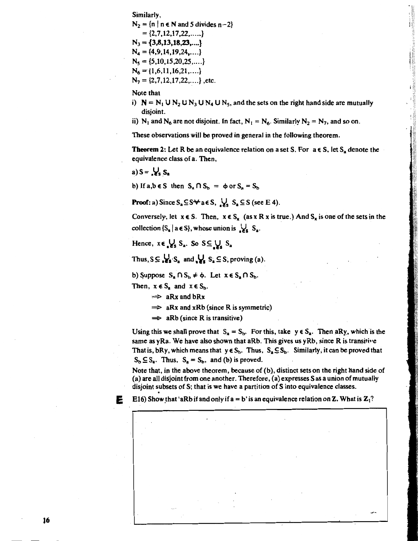Similarly,

 $N_2 = {n | n \in N \text{ and } 5 \text{ divides } n-2}$  $= \{2, 7, 12, 17, 22, \ldots \}$  $N_3 = \{3,8,13,18,23,...\}$  $N_4 = \{4,9,14,19,24,\ldots\}$  $N_5 = \{5, 10, 15, 20, 25, \dots\}$  $N_6 = \{1, 6, 11, 16, 21, \ldots\}$  $N_2 = \{2, 7, 12, 17, 22, \ldots\}$ , etc.

Note that

i)  $N = N_1 U N_2 U N_3 U N_4 U N_5$ , and the sets on the right hand side are mutually disjoint.

ii) N<sub>1</sub> and N<sub>6</sub> are not disjoint. In fact, N<sub>1</sub> = N<sub>6</sub>. Similarly N<sub>2</sub> = N<sub>7</sub>, and so on.

These observations will be proved in general in the following theorem.

**Theorem 2:** Let R be an equivalence relation on a set S. For  $a \in S$ , let S<sub>a</sub> denote the equivalence class of a. Then,

a)  $S = \mathcal{L} S$ 

b) If a,  $b \in S$  then  $S_n \cap S_h = \phi$  or  $S_n = S_h$ 

**Proof:** a) Since  $S_n \subseteq S \forall a \in S$ ,  $\bigcup_{k} S_n \subseteq S$  (see E 4).

Conversely, let  $x \in S$ . Then,  $x \in S_x$  (as x R x is true.) And  $S_x$  is one of the sets in the collection  $\{S_a \mid a \in S\}$ , whose union is  $\bigcup_s S_a$ .

Hence,  $x \in \bigcup_{\alpha} S_{\alpha}$ . So  $S \subseteq \bigcup_{\alpha} S_{\alpha}$ 

Thus,  $S \subseteq \bigcup_{n=1}^{\infty} S_n$  and  $\bigcup_{n=1}^{\infty} S_n \subseteq S$ , proving (a).

b) Suppose  $S_a \cap S_b \neq \phi$ . Let  $x \in S_a \cap S_b$ .

Then,  $x \in S_a$  and  $x \in S_b$ .

E.

- $\Rightarrow$  aRx and bRx
- $\Rightarrow$  aRx and xRb (since R is symmetric)
- $\Rightarrow$  aRb (since R is transitive)

Using this we shall prove that  $S_a = S_b$ . For this, take  $y \in S_a$ . Then aRy, which is the same as  $yRa$ . We have also shown that aRb. This gives us  $yRb$ , since R is transitive That is, bRy, which means that  $y \in S_b$ . Thus,  $S_a \subseteq S_b$ . Similarly, it can be proved that  $S_b \subseteq S_a$ . Thus,  $S_a = S_b$ , and (b) is proved.

Note that, in the above theorem, because of (b), distinct sets on the right hand side of (a) are all disjoint from one another. Therefore, (a) expresses S as a union of mutually disjoint subsets of S; that is we have a partition of S into equivalence classes.

E16) Show that 'aRb if and only if  $a = b'$  is an equivalence relation on Z. What is  $Z_1$ ?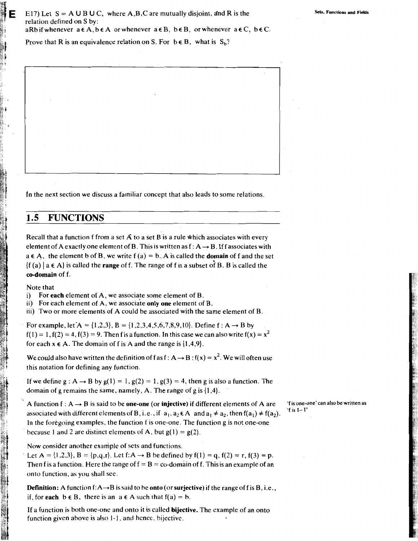Prove that R is an equivalence relation on S. For  $b \in B$ , what is  $S_b$ ?

In the next section we discuss a familiar concept that also leads to some relations.

#### $1.5$ **FUNCTIONS**

Recall that a function f from a set  $\vec{A}$  to a set  $\vec{B}$  is a rule which associates with every element of A exactly one element of B. This is written as  $f: A \rightarrow B$ . If f associates with  $a \in A$ , the element b of B, we write  $f(a) = b$ . A is called the **domain** of f and the set  $\{f(a) \mid a \in A\}$  is called the **range** of f. The range of f is a subset of B. B is called the co-domain of f.

Note that

i) For each element of A, we associate some element of B.

ii) For each element of A, we associate only one element of B.

iii) Two or more elements of A could be associated with the same element of B.

For example, let  $A = \{1,2,3\}$ ,  $B = \{1,2,3,4,5,6,7,8,9,10\}$ . Define  $f : A \rightarrow B$  by  $f(1) = 1$ ,  $f(2) = 4$ ,  $f(3) = 9$ . Then f is a function. In this case we can also write  $f(x) = x^2$ for each  $x \in A$ . The domain of f is A and the range is  $\{1,4,9\}$ .

We could also have written the definition of f as  $f: A \rightarrow B$ :  $f(x) = x^2$ . We will often use this notation for defining any function.

If we define  $g : A \rightarrow B$  by  $g(1) = 1$ ,  $g(2) = 1$ ,  $g(3) = 4$ , then g is also a function. The domain of g remains the same, namely, A. The range of g is  $\{1,4\}$ .

A function  $f: A \rightarrow B$  is said to be one-one (or injective) if different elements of A are associated with different elements of B, i.e., if  $a_1$ ,  $a_2 \in A$  and  $a_1 \neq a_2$ , then  $f(a_1) \neq f(a_2)$ . In the foregoing examples, the function f is one-one. The function g is not one-one because 1 and 2 are distinct elements of A, but  $g(1) = g(2)$ .

Now consider another example of sets and functions.

Let A = {1,2,3}, B = {p,q,r}. Let f: A  $\rightarrow$  B be defined by f(1) = q, f(2) = r, f(3) = p. Then f is a function. Here the range of  $f = B = co$ -domain of f. This is an example of an onto function, as you shall see.

**Definition:** A function  $f: A \rightarrow B$  is said to be **onto** (or **surjective**) if the range of f is B, i.e., if, for each  $b \in B$ , there is an  $a \in A$  such that  $f(a) = b$ .

If a function is both one-one and onto it is called bijective. The example of an onto function given above is also 1-1, and hence, bijective.

'f is one-one' can also be written as  $'t$  is  $1-1'$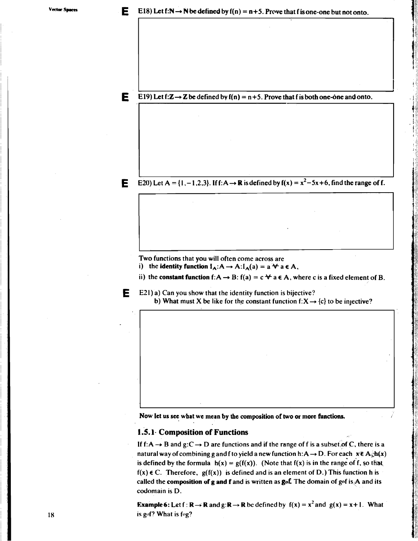E19) Let f: $\mathbb{Z} \rightarrow \mathbb{Z}$  be defined by f(n) = n+5. Prove that f is both one-one and onto.

E20) Let A = {1, -1,2,3}. If f: A  $\rightarrow$  R is defined by f(x) =  $x^2$  -5x +6, find the range of f.

Two functions that you will often come across are

i) the identity function  $I_A: A \to A: I_A(a) = a \star a \in A$ ,

ii) the constant function  $f: A \rightarrow B$ :  $f(a) = c \forall a \in A$ , where c is a fixed element of B.



E

E

Е

E21) a) Can you show that the identity function is bijective? b) What must X be like for the constant function  $f: X \rightarrow \{c\}$  to be injective?

Now let us see what we mean by the composition of two or more functions.

### 1.5.1 Composition of Functions

If f: A  $\rightarrow$  B and g: C  $\rightarrow$  D are functions and if the range of f is a subset of C, there is a natural way of combining g and f to yield a new function h: A  $\rightarrow$  D. For each  $x \in A_{\hat{x}}$ h(x) is defined by the formula  $h(x) = g(f(x))$ . (Note that  $f(x)$  is in the range of f, so that  $f(x) \in C$ . Therefore,  $g(f(x))$  is defined and is an element of D.) This function h is called the composition of  $g$  and  $f$  and is written as  $g$ of. The domain of  $g \circ f$  is  $A$  and its codomain is D.

**Example 6:** Let f:  $\mathbb{R} \to \mathbb{R}$  and  $g: \mathbb{R} \to \mathbb{R}$  be defined by  $f(x) = x^2$  and  $g(x) = x + 1$ . What is gof? What is fog?

18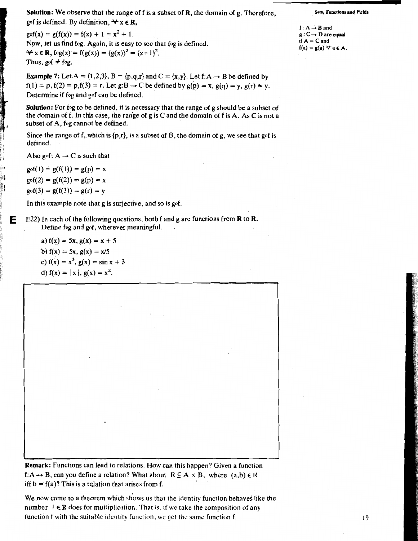**Solution:** We observe that the range of  $f$  is a subset of  $\mathbb{R}$ , the domain of  $g$ . Therefore, gof is defined. By definition,  $\forall x \in \mathbb{R}$ ,

 $g \circ f(x) = g(f(x)) = f(x) + 1 = x^2 + 1.$ Now, let us find fog. Again, it is easy to see that fog is defined.  $\forall x \in \mathbb{R}, \log(x) = f(g(x)) = (g(x))^2 = (x+1)^2.$ Thus, gof  $\neq$  fog.

**Example 7:** Let A = {1,2,3}, B = {p,q,r} and C = {x,y}. Let f: A  $\rightarrow$  B be defined by  $f(1) = p$ ,  $f(2) = p$ ,  $f(3) = r$ . Let  $g:B \rightarrow C$  be defined by  $g(p) = x$ ,  $g(q) = y$ ,  $g(r) = y$ . Determine if fog and gof can be defined.

**Solution:** For fog to be defined, it is necessary that the range of g should be a subset of the domain of f. In this case, the range of g is C and the domain of f is A. As C is not a subset of A, fog cannot be defined.

Since the range of f, which is  $\{p,r\}$ , is a subset of B, the domain of g, we see that gof is defined.

Also gof:  $A \rightarrow C$  is such that

 $g \circ f(1) = g(f(1)) = g(p) = x$  $g \circ f(2) = g(f(2)) = g(p) = x$  $g \circ f(3) = g(f(3)) = g(r) = y$ 

F

In this example note that g is surjective, and so is gof.

E22) In each of the following questions, both f and g are functions from  $\bf{R}$  to  $\bf{R}$ . Define fog and gof, wherever meaningful.

a)  $f(x) = 5x, g(x) = x + 5$ b)  $f(x) = 5x$ ,  $g(x) = x/5$ c)  $f(x) = x^3$ ,  $g(x) = \sin x + 3$ d)  $f(x) = |x|, g(x) = x^2$ .

**Remark:** Functions can lead to relations. How can this happen? Given a function f:A o B, can you define a relation? What about  $R \subseteq A \times B$ , where  $(a,b) \in R$ iff  $b = f(a)$ ? This is a relation that arises from f.

We now come to a theorem which shows us that the identity function behaves like the number  $1 \in \mathbb{R}$  does for multiplication. That is, if we take the composition of any function f with the suitable identity function, we get the same function f.

**Sets. Functions and Fields** 

19

 $f: A \rightarrow B$  and  $g: C \rightarrow D$  are equal if  $A = C$  and  $f(a) = g(a) \forall a \in A$ .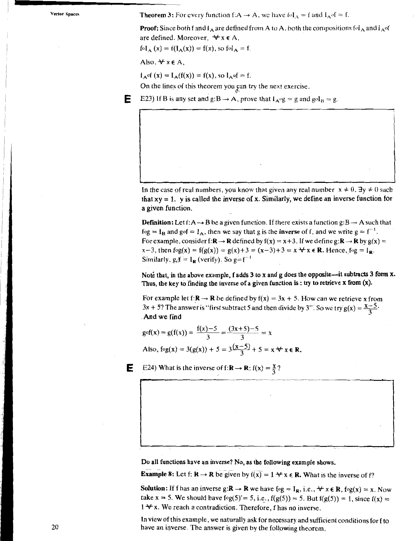**Theorem 3:** For every function f:A  $\rightarrow$  A, we have fol<sub>A</sub> = f and  $I_A$  of = f.

**Proof:** Since both f and  $I_A$  are defined from A to A, both the compositions fol<sub>A</sub> and  $I_A$  of are defined. Moreover,  $\forall x \in A$ ,

 $f \circ I_A(x) = f(I_A(x)) = f(x)$ , so  $f \circ I_A = f$ .

Also,  $\forall x \in A$ ,

 $I_A$  of  $(x) = I_A(f(x)) = f(x)$ , so  $I_A$  of  $= f$ .

On the lines of this theorem you can try the next exercise.

Е E23) If B is any set and  $g:B \to A$ , prove that  $I_A \circ g = g$  and  $g \circ I_B = g$ .

In the case of real numbers, you know that given any real number  $x \neq 0$ ,  $\exists y \neq 0$  such that  $xy = 1$ . y is called the inverse of x. Similarly, we define an inverse function for a given function.

**Definition:** Let f: A  $\rightarrow$  B be a given function. If there exists a function  $g:B \rightarrow A$  such that fog =  $I_B$  and gof =  $I_A$ , then we say that g is the **inverse** of f, and we write  $g = f^{-1}$ . For example, consider f:  $\mathbb{R} \to \mathbb{R}$  defined by  $f(x) = x + 3$ . If we define  $g: \mathbb{R} \to \mathbb{R}$  by  $g(x) =$ x-3, then  $f \circ g(x) = f(g(x)) = g(x) + 3 = (x-3) + 3 = x \forall x \in \mathbb{R}$ . Hence,  $f \circ g = I_{\mathbb{R}}$ . Similarly,  $g_0 f = I_R$  (verify). So  $g = f^{-1}$ 

Note that, in the above example, f adds 3 to x and g does the opposite—it subtracts 3 form x. Thus, the key to finding the inverse of a given function is: try to retrieve  $x$  from  $(x)$ .

For example let f:  $\mathbf{R} \to \mathbf{R}$  be defined by  $f(x) = 3x + 5$ . How can we retrieve x from  $3x + 5$ ? The answer is "first subtract 5 and then divide by 3". So we try  $g(x) = \frac{x-5}{2}$ . And we find

$$
g \circ f(x) = g(f(x)) = \frac{f(x) - 5}{3} = \frac{(3x + 5) - 5}{3} = x
$$
  
Also,  $f \circ g(x) = 3(g(x)) + 5 = 3\frac{(x - 5)}{3} + 5 = x \forall x \in \mathbb{R}$ 

E24) What is the inverse of f:  $\mathbf{R} \to \mathbf{R}$ : f(x) =  $\frac{\mathbf{X}}{2}$ ?

Е

Do all functions have an inverse? No, as the following example shows.

**Example 8:** Let f:  $\mathbf{R} \to \mathbf{R}$  be given by  $f(x) = 1 \forall x \in \mathbf{R}$ . What is the inverse of f?

**Solution:** If f has an inverse  $g: \mathbb{R} \to \mathbb{R}$  we have  $f \circ g = I_{\mathbb{R}}$ , i.e.,  $\forall x \in \mathbb{R}$ ,  $f \circ g(x) = x$ . Now take x = 5. We should have  $f \circ g(5) = 5$ , i.e.,  $f(g(5)) = 5$ . But  $f(g(5)) = 1$ , since  $f(x) =$  $1 + x$ . We reach a contradiction. Therefore, f has no inverse.

In view of this example, we naturally ask for necessary and sufficient conditions for f to have an inverse. The answer is given by the following theorem.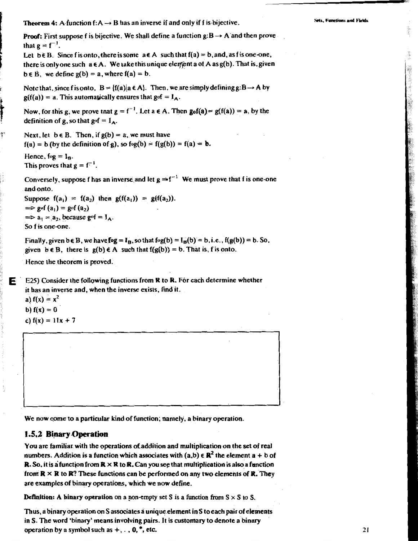**Theorem 4:** A function  $f: A \rightarrow B$  has an inverse if and only if f is bijective.

. Functions and Fick

**Proof:** First suppose f is bijective. We shall define a function  $g:B \rightarrow A$  and then prove that  $g = f^{-1}$ .

Let  $b \in B$ . Since f is onto, there is some  $a \in A$  such that  $f(a) = b$ , and, as f is one-one, there is only one such  $a \in A$ . We take this unique element a of A as  $g(b)$ . That is, given  $b \in B$ , we define  $g(b) = a$ , where  $f(a) = b$ .

Note that, since f is onto,  $B = \{f(a) | a \in A\}$ . Then, we are simply defining  $g:B \rightarrow A$  by  $g(f(a)) = a$ . This automatically ensures that  $gof = I_A$ .

Now, for this g, we prove that  $g = f^{-1}$ . Let  $a \in A$ . Then  $g_0f(a) = g(f(a)) = a$ , by the definition of g, so that gof =  $I_A$ .

Next, let  $b \in B$ . Then, if  $g(b) = a$ , we must have  $f(a) = b$  (by the definition of g), so  $f \circ g(b) = f(g(b)) = f(a) = b$ .

```
Hence, f \circ g = I_B.
This proves that g = f^{-1}.
```
ŗ

Е

Conversely, suppose f has an inverse and let  $g = f^{-1}$  We must prove that f is one-one and onto.

Suppose  $f(a_1) = f(a_2)$  then  $g(f(a_1)) = g(f(a_2))$ .  $\Rightarrow$  gof (a<sub>1</sub>) = gof (a<sub>2</sub>)  $\Rightarrow$  a<sub>1</sub> = a<sub>2</sub>, because gof = I<sub>A</sub>. So f is one-one.

Finally, given b  $\in$  B, we have fog =  $I_B$ , so that fog(b) =  $I_B(b) = b$ , i.e., f(g(b)) = b. So, given  $b \in B$ , there is  $g(b) \in A$  such that  $f(g(b)) = b$ . That is, f is onto.

Hence the theorem is proved.

E25) Consider the following functions from R to R. For each determine whether it has an inverse and, when the inverse exists, find it.

a)  $f(x) = x^2$ b)  $f(x) = 0$ c)  $f(x) = 11x + 7$ 

We now come to a particular kind of function, namely, a binary operation.

#### 1.5,2 Binary Operation

You are familiar with the operations of addition and multiplication on the set of real numbers. Addition is a function which associates with  $(a,b) \in \mathbb{R}^2$  the element  $a + b$  of **R.** So, it is a function from  $\mathbb{R} \times \mathbb{R}$  to R. Can you see that multiplication is also a function from  $\mathbb{R} \times \mathbb{R}$  to  $\mathbb{R}$ ? These functions can be performed on any two elements of  $\mathbb{R}$ . They are examples of binary operations, which we now define.

**Definition:** A binary operation on a non-empty set S is a function from  $S \times S$  to S.

Thus, a binary operation on S associates a unique element in S to each pair of elements in S. The word 'binary' means involving pairs. It is customary to denote a binary operation by a symbol such as  $+$ , ., 0,  $*$ , etc.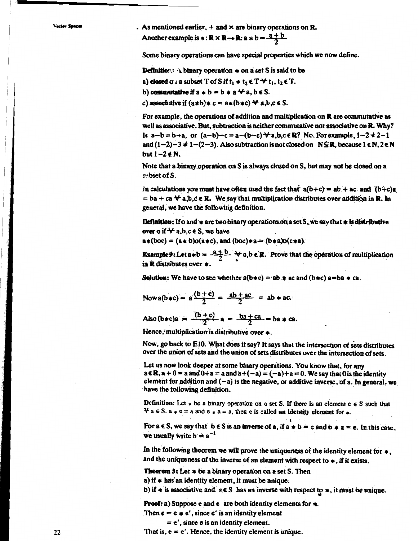. As mentioned earlier,  $+$  and  $\times$  are binary operations on **R**. Another example is  $\ast: \mathbb{R} \times \mathbb{R} \rightarrow \mathbb{R}$ : a  $\ast$  b =  $\frac{a + b}{2}$ 

Some binary operations can have special properties which we now define.

**Definition:** A binary operation  $*$  on a set S is said to be

a) closed  $Q_1$  a subset T of S if  $t_1 \neq t_2 \in T \rightarrow t_1, t_2 \in T$ .

b) commutative if  $a * b = b * a \star a$ ,  $b \in S$ .

c) associative if  $(a * b) * c = a * (b * c) * a.b.c \in S$ .

For example, the operations of addition and multiplication on R are commutative as well as associative. But, subtraction is neither commutative nor associative on R. Why? Is  $a-b = b+a$ , or  $(a-b)-c = a-(b-c) + a,b,c \in \mathbb{R}$ ? No. For example,  $1-2 \ne 2-1$ and  $(1-2)-3 \ne 1-(2-3)$ . Also subtraction is not closed on  $N \subseteq \mathbb{R}$ , because  $1 \in \mathbb{N}$ ,  $2 \in \mathbb{N}$ but  $1-2 \notin N$ ,

Note that a binary operation on S is always closed on S, but may not be closed on a sybset of S

In calculations you must have often used the fact that  $a(b+c) = ab + ac$  and  $(b+c)a$  $=$  ba + ca  $\rightarrow$  a,b,c  $\in$  R. We say that multiplication distributes over addition in R. In general, we have the following definition.

**Definition:** If o and  $*$  are two binary operations on a set  $S$ , we say that  $*$  is distributive over o if  $\forall$  a,b,c  $\in$  S, we have

 $a*(boc) = (a*b)o(a*c)$ , and  $(boc)*a = (b*a)o(c*a)$ .

**Example 9:** Let  $a * b = \frac{a+b}{2}$   $\rightarrow a,b \in \mathbb{R}$ . Prove that the operation of multiplication in R distributes over  $\ast$ 

**Solution:** We have to see whether  $a(b*c) = ab$  a ac and  $(b*c)$  a=ba  $\neq ca$ .

Now 
$$
a(b*c) = a\frac{(b+c)}{2} = \frac{ab+ac}{2} = ab*ac
$$
.

Also 
$$
(b*c)a = \frac{(b+c)}{2}a = \frac{ba+ca}{2} = ba * ca.
$$

Hence, multiplication is distributive over  $\ast$ .

Now, go back to E10. What does it say? It says that the intersection of sets distributes over the union of sets and the union of sets distributes over the intersection of sets.

Let us now look deeper at some binary operations. You know that, for any  $a \in \mathbb{R}$ ,  $a + 0 = a$  and  $0 + a = a$  and  $a + (-a) = (-a) + a = 0$ . We say that 0 is the identity element for addition and  $(-a)$  is the negative, or additive inverse, of a. In general, we have the following definition.

Definition: Let  $*$  be a binary operation on a set S. If there is an element  $e \in S$  such that  $\forall$  a  $\in$  S, a  $\star$  e = a and e  $\star$  a = a, then e is called an identity element for  $\star$ .

For  $a \in S$ , we say that  $b \in S$  is an inverse of a, if  $a * b = e$  and  $b * a = e$ . In this case, we usually write  $b \ge a^{-1}$ 

In the following theorem we will prove the uniqueness of the identity element for  $\ast$ , and the uniqueness of the inverse of an element with respect to  $\ast$ , if it exists.

**Theorem 5:** Let  $*$  be a binary operation on a set S. Then

a) if  $\neq$  has an identity element, it must be unique.

b) if  $\neq$  is associative and  $s \in S$  has an inverse with respect to  $\neq$ , it must be unique.

**Proof:** a) Suppose e and e are both identity elements for  $\ast$ .

Then  $e = e * e'$ , since e' is an identity element

 $= e'$ , since e is an identity element.

That is,  $e = e'$ . Hence, the identity element is unique.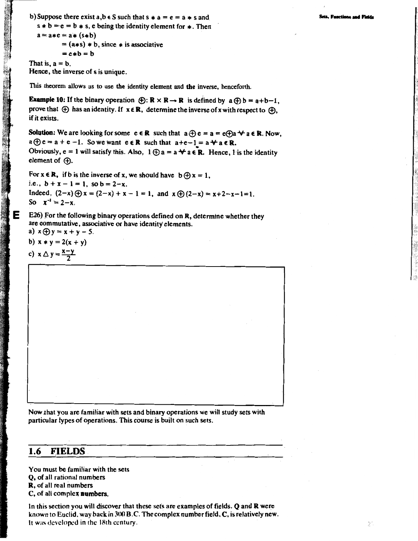b) Suppose there exist  $a, b \in S$  such that  $s * a = e = a * s$  and  $s * b = e = b * s$ , e being the identity element for  $*$ . Then  $a = a * c = a * (s * b)$  $= (a * s) * b$ , since  $*$  is associative  $= e * b = b$ 

That is,  $a = b$ . Hence, the inverse of s is unique.

This theorem allows us to use the identity element and the inverse, henceforth.

**Example 10:** If the binary operation  $\bigoplus$ :  $\mathbb{R} \times \mathbb{R} \to \mathbb{R}$  is defined by  $a \bigoplus b = a+b-1$ , prove that  $\oplus$  has an identity. If  $x \in \mathbb{R}$ , determine the inverse of x with respect to  $\oplus$ . if it exists.

**Solution:** We are looking for some  $e \in \mathbb{R}$  such that  $a \oplus e = a = e \oplus a \nleftrightarrow a \in \mathbb{R}$ . Now,  $a \oplus e = a + e - 1$ . So we want  $e \in \mathbb{R}$  such that  $a + e - 1 = a + a \in \mathbb{R}$ . Obviously,  $e = 1$  will satisfy this. Also,  $1 \oplus a = a \star a \in \mathbb{R}$ . Hence, 1 is the identity element of  $(A)$ .

For  $x \in \mathbb{R}$ , if b is the inverse of x, we should have  $b \oplus x = 1$ , i.e.,  $b + x - 1 = 1$ , so  $b = 2-x$ . Indeed,  $(2-x) \oplus x = (2-x) + x - 1 = 1$ , and  $x \oplus (2-x) = x+2-x-1=1$ . So  $x^{-1} = 2-x$ .

E26) For the following binary operations defined on  $R$ , determine whether they are commutative, associative or have identity elements. a)  $x \oplus y = x + y - 5$ .

b)  $x * y = 2(x + y)$ 

c)  $x \triangle y = \frac{x-y}{2}$ 

Now that you are familiar with sets and binary operations we will study sets with particular types of operations. This course is built on such sets.

#### 1.6 **FIELDS**

You must be familiar with the sets Q, of all rational numbers R, of all real numbers C, of all complex numbers.

In this section you will discover that these sets are examples of fields. Q and R were known to Euclid, way back in 300 B.C. The complex number field, C, is relatively new. It was developed in the 18th century.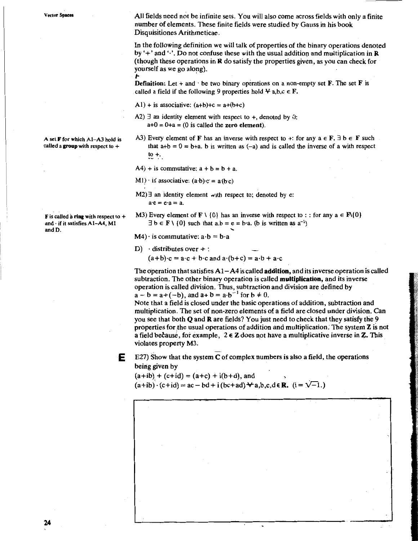All fields need not be infinite sets. You will also come across fields with only a finite number of elements. These finite fields were studied by Gauss in his book Disquisitiones Arithmeticae.

In the following definition we will talk of properties of the binary operations denoted by '+' and ' $\cdot$ '. Do not confuse these with the usual addition and multiplication in R (though these operations in  $\bf{R}$  do satisfy the properties given, as you can check for yourself as we go along).

**Definition:** Let + and  $\cdot$  be two binary operations on a non-empty set  $\mathbf{F}$ . The set  $\mathbf{F}$  is called a field if the following 9 properties hold  $\forall$  a,b,c  $\in$  F.

A1) + is associative:  $(a+b)+c = a+(b+c)$ 

- A2)  $\exists$  an identity element with respect to +, denoted by 0:  $a+0 = 0+a = (0$  is called the zero element).
- A3) Every element of F has an inverse with respect to +: for any  $a \in F$ ,  $\exists b \in F$  such that  $a+b = 0 = b+a$ . b is written as (-a) and is called the inverse of a with respect  $\mathfrak{t}$  to  $+$ .
- A4) + is commutative:  $a + b = b + a$ .
- M1)  $\cdot$  is associative:  $(a \cdot b) \cdot c = a \cdot (b \cdot c)$
- $M2$ )  $\exists$  an identity element with respect to; denoted by e:  $a \cdot e = e \cdot a = a$ .
- M3) Every element of  $\mathbf{F} \setminus \{0\}$  has an inverse with respect to : : for any  $a \in \mathbf{F} \setminus \{0\}$  $\exists b \in F \setminus \{0\}$  such that  $a.b = e = b \cdot a$ . (b is written as  $a^{-1}$ )

 $M4$ ) · is commutative:  $a \cdot b = b \cdot a$ 

D) distributes over  $+$ :  $(a+b)c = a \cdot c + b \cdot c$  and  $a \cdot (b+c) = a \cdot b + a \cdot c$ 

The operation that satisfies  $A1 - A4$  is called addition, and its inverse operation is called subtraction. The other binary operation is called multiplication, and its inverse operation is called division. Thus, subtraction and division are defined by  $a - b = a + (-b)$ , and  $a + b = a \cdot b^{-1}$  for  $b \ne 0$ .

Note that a field is closed under the basic operations of addition, subtraction and multiplication. The set of non-zero elements of a field are closed under division. Can you see that both Q and R are fields? You just need to check that they satisfy the 9 properties for the usual operations of addition and multiplication. The system Z is not a field because, for example,  $2 \in \mathbb{Z}$  does not have a multiplicative inverse in Z. This violates property M3.

E27) Show that the system  $C$  of complex numbers is also a field, the operations E. being given by

 $(a+ib) + (c+id) = (a+c) + i(b+d)$ , and  $(a+ib) \cdot (c+id) = ac - bd + i(bc+ad) + a,b,c,d \in \mathbb{R}$ .  $(i = \sqrt{-1})$ .

A set F for which A1-A3 hold is called a group with respect to  $+$ 

**F** is called a ring with respect to  $+$ and · if it satisfies A1-A4, M1 and D.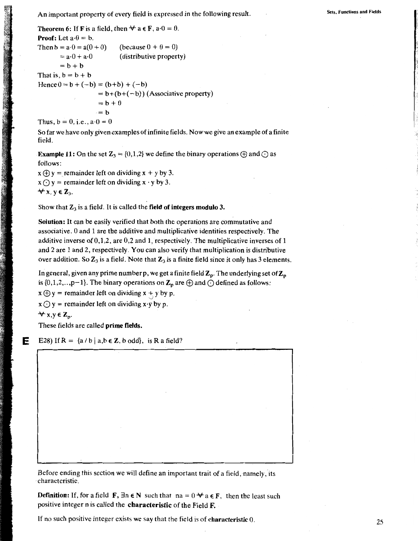An important property of every field is expressed in the following result.

**Sets. Functions and Fields** 

**Theorem 6:** If **F** is a field, then  $\forall$  a  $\in$  **F**, a $\cdot$ 0 = 0. **Proof:** Let  $a \cdot 0 = b$ . (because  $0 + 0 = 0$ ) Then  $b = a \cdot 0 = a(0 + 0)$ (distributive property)  $=$  a $\cdot$ 0 + a $\cdot$ 0  $= b + b$ That is,  $b = b + b$ Hence  $0 = b + (-b) = (b+b) + (-b)$  $= b+(b+(-b))$  (Associative property)  $= b + 0$  $= h$ Thus,  $b = 0$ , i.e.,  $a \cdot 0 = 0$ 

So far we have only given examples of infinite fields. Now we give an example of a finite field.

**Example 11:** On the set  $\mathbb{Z}_3 = \{0,1,2\}$  we define the binary operations  $\oplus$  and  $\odot$  as follows:

 $x \oplus y$  = remainder left on dividing  $x + y$  by 3.  $x \bigodot y$  = remainder left on dividing  $x \cdot y$  by 3.  $\forall$  x, y  $\in \mathbb{Z}_3$ .

Show that  $\mathbb{Z}_3$  is a field. It is called the field of integers modulo 3.

Solution: It can be easily verified that both the operations are commutative and associative. 0 and 1 are the additive and multiplicative identities respectively. The additive inverse of  $0,1,2$ , are  $0,2$  and 1, respectively. The multiplicative inverses of 1 and 2 are 1 and 2, respectively. You can also verify that multiplication is distributive over addition. So  $\mathbb{Z}_3$  is a field. Note that  $\mathbb{Z}_3$  is a finite field since it only has 3 elements.

In general, given any prime number p, we get a finite field  $Z_p$ . The underlying set of  $Z_p$ is  $\{0,1,2, \ldots, p-1\}$ . The binary operations on  $\mathbb{Z}_p$  are  $\bigoplus$  and  $\bigodot$  defined as follows:

 $x \oplus y$  = remainder left on dividing  $x + y$  by p.

 $x \bigcirc y$  = remainder left on dividing x y by p.

 $\forall x,y \in \mathbb{Z}_{p}$ .

These fields are called prime fields.

Е E28) If R =  $\{a/b \mid a,b \in \mathbb{Z}, b \text{ odd}\},\$ is R a field?

Before ending this section we will define an important trait of a field, namely, its characteristic.

**Definition:** If, for a field **F**,  $\exists n \in \mathbb{N}$  such that  $na = 0 \forall a \in \mathbb{F}$ , then the least such positive integer n is called the characteristic of the Field F.

If no such positive integer exists we say that the field is of characteristic 0.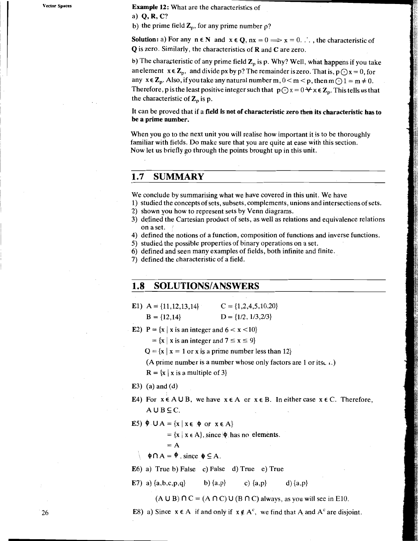Example 12: What are the characteristics of

a)  $Q, R, C?$ 

b) the prime field  $\mathbb{Z}_p$ , for any prime number  $\rho$ ?

**Solution:** a) For any  $n \in \mathbb{N}$  and  $x \in \mathbb{Q}$ ,  $nx = 0 \implies x = 0$ .  $\therefore$ , the characteristic of Q is zero. Similarly, the characteristics of R and C are zero.

b) The characteristic of any prime field  $Z_p$  is p. Why? Well, what happens if you take an element  $x \in Z_p$ , and divide px by p? The remainder is zero. That is,  $p \bigcirc x = 0$ , for any  $x \in \mathbb{Z}_p$ . Also, if you take any natural number m,  $0 < m < p$ , then m  $\bigcirc 1 = m \neq 0$ . Therefore, p is the least positive integer such that  $p\bigodot x = 0 \forall x \in \mathbb{Z}_p$ . This tells us that the characteristic of  $\mathbf{Z}_p$  is p.

It can be proved that if a field is not of characteristic zero then its characteristic has to be a prime number.

When you go to the next unit you will realise how important it is to be thoroughly familiar with fields. Do make sure that you are quite at ease with this section. Now let us briefly go through the points brought up in this unit.

#### $1.7$ **SUMMARY**

We conclude by summarising what we have covered in this unit. We have

1) studied the concepts of sets, subsets, complements, unions and intersections of sets.

- 2) shown you how to represent sets by Venn diagrams.
- 3) defined the Cartesian product of sets, as well as relations and equivalence relations on a set.
- 4) defined the notions of a function, composition of functions and inverse functions.
- 5) studied the possible properties of binary operations on a set.
- 6) defined and seen many examples of fields, both infinite and finite.
- 7) defined the characteristic of a field.

#### 1.8 **SOLUTIONS/ANSWERS**

- $C = \{1, 2, 4, 5, 10, 20\}$ E1)  $A = \{11, 12, 13, 14\}$  $D = \{1/2, 1/3, 2/3\}$  $B = \{12,14\}$
- E2)  $P = \{x \mid x \text{ is an integer and } 6 < x < 10\}$

 $= \{x \mid x \text{ is an integer and } 7 \leq x \leq 9\}$ 

 $Q = \{x \mid x = 1 \text{ or } x \text{ is a prime number less than } 12\}$ 

(A prime number is a number whose only factors are 1 or its.  $\lambda$ .)

 $R = {x | x is a multiple of 3}$ 

#### $E3)$  (a) and (d)

- E4) For  $x \in A \cup B$ , we have  $x \in A$  or  $x \in B$ . In either case  $x \in C$ . Therefore,  $A \cup B \subseteq C$ .
- E5)  $\oint$  UA = {x | x  $\in$  { $\oint$  or  $x \in A$ }

 $= \{x \mid x \in A\}$ , since  $\phi$  has no elements.

$$
= A
$$

 $\phi \cap A = \phi$ , since  $\phi \subseteq A$ .

E6) a) True b) False c) False d) True e) True

d)  $\{a,p\}$ E7) a)  $\{a,b,c,p,q\}$ b)  $\{a,p\}$ c)  $\{a,p\}$ 

 $(A \cup B) \cap C = (A \cap C) \cup (B \cap C)$  always, as you will see in E10.

E8) a) Since  $x \in A$  if and only if  $x \notin A^c$ , we find that A and A<sup>c</sup> are disjoint.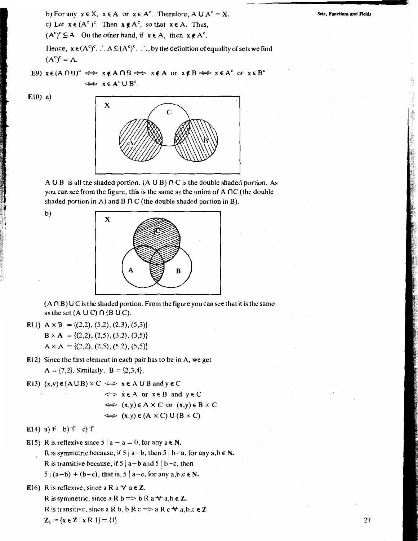b) For any  $x \in X$ ,  $x \in A$  or  $x \in A^c$ . Therefore,  $A \cup A^c = X$ .

c) Let  $x \in (A^c)^c$ . Then  $x \notin A^c$ , so that  $x \in A$ . Thus,

 $(A^{c})^{c} \subseteq A$ . On the other hand, if  $x \in A$ , then  $x \notin A^{c}$ .

Hence,  $x \in (A^c)^c$ .  $\therefore A \subseteq (A^c)^c$ .  $\therefore$ , by the definition of equality of sets we find  $(A<sup>c</sup>)<sup>c</sup> = A.$ 

E9)  $x \in (A \cap B)^c \iff x \notin A \cap B \iff x \notin A$  or  $x \notin B \iff x \in A^c$  or  $x \in B^c$  $\Leftrightarrow$   $x \in A^c \cup B^c$ .

 $E10)$  a)



A U B is all the shaded portion.  $(A \cup B) \cap C$  is the double shaded portion. As you can see from the figure, this is the same as the union of  $A \cap C$  (the double shaded portion in A) and B  $\cap$  C (the double shaded portion in B).

 $b)$ 



 $(A \cap B)$  U C is the shaded portion. From the figure you can see that it is the same as the set  $(A \cup C) \cap (B \cup C)$ .

- E11)  $A \times B = \{(2,2), (5,2), (2,3), (5,3)\}\$  $B \times A = \{(2,2), (2,5), (3,2), (3,5)\}\$  $A \times A = \{(2,2), (2,5), (5,2), (5,5)\}\$
- E12) Since the first element in each pair has to be in A, we get  $A = \{7,2\}$ . Similarly,  $B = \{2,3,4\}$ .
- E13)  $(x,y) \in (A \cup B) \times C \iff x \in A \cup B$  and  $y \in C$

$$
\Leftrightarrow x \in A \text{ or } x \in B \text{ and } y \in C
$$
  

$$
\Leftrightarrow (x,y) \in A \times C \text{ or } (x,y) \in B \times C
$$
  

$$
\Leftrightarrow (x,y) \in (A \times C) \cup (B \times C)
$$

E14) a)  $F$  b)  $T$  c)  $T$ 

E15) R is reflexive since  $5 | a - a = 0$ , for any  $a \in N$ . R is symmetric because, if  $5 \mid a-b$ , then  $5 \mid b-a$ , for any  $a,b \in N$ . R is transitive because, if  $5 | a-b \text{ and } 5 | b-c$ , then  $5|(a-b)+(b-c)$ , that is,  $5|a-c$ , for any  $a,b,c \in N$ .

E16) R is reflexive, since a R a  $\forall$  a  $\in$  Z. R is symmetric, since a R  $b \implies b R a \nrightarrow a, b \in \mathbb{Z}$ . R is transitive, since a R b, b R c  $\Rightarrow$  a R c  $\forall$  a, b, c  $\in \mathbb{Z}$  $Z_1 = \{x \in Z \mid x \in X\} = \{1\}$